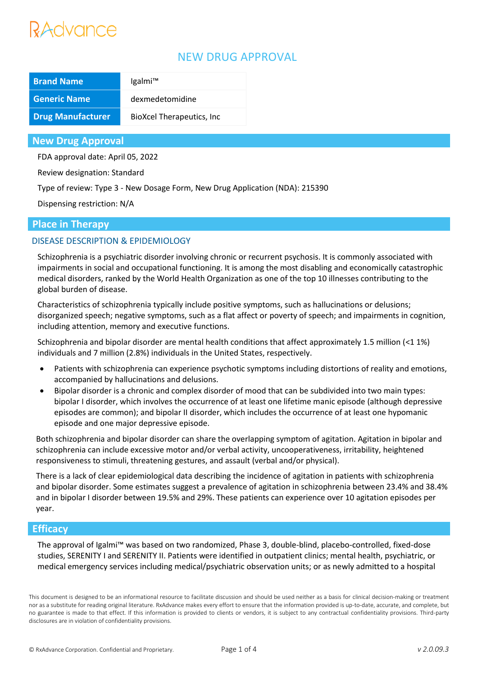# Advance

# NEW DRUG APPROVAL

| <b>Brand Name</b>        | Igalmi™                           |
|--------------------------|-----------------------------------|
| <b>Generic Name</b>      | dexmedetomidine                   |
| <b>Drug Manufacturer</b> | <b>BioXcel Therapeutics, Inc.</b> |

### **New Drug Approval**

FDA approval date: April 05, 2022

Review designation: Standard

Type of review: Type 3 - New Dosage Form, New Drug Application (NDA): 215390

Dispensing restriction: N/A

## **Place in Therapy**

## DISEASE DESCRIPTION & EPIDEMIOLOGY

Schizophrenia is a psychiatric disorder involving chronic or recurrent psychosis. It is commonly associated with impairments in social and occupational functioning. It is among the most disabling and economically catastrophic medical disorders, ranked by the World Health Organization as one of the top 10 illnesses contributing to the global burden of disease.

Characteristics of schizophrenia typically include positive symptoms, such as hallucinations or delusions; disorganized speech; negative symptoms, such as a flat affect or poverty of speech; and impairments in cognition, including attention, memory and executive functions.

Schizophrenia and bipolar disorder are mental health conditions that affect approximately 1.5 million (<1 1%) individuals and 7 million (2.8%) individuals in the United States, respectively.

- Patients with schizophrenia can experience psychotic symptoms including distortions of reality and emotions, accompanied by hallucinations and delusions.
- Bipolar disorder is a chronic and complex disorder of mood that can be subdivided into two main types: bipolar I disorder, which involves the occurrence of at least one lifetime manic episode (although depressive episodes are common); and bipolar II disorder, which includes the occurrence of at least one hypomanic episode and one major depressive episode.

Both schizophrenia and bipolar disorder can share the overlapping symptom of agitation. Agitation in bipolar and schizophrenia can include excessive motor and/or verbal activity, uncooperativeness, irritability, heightened responsiveness to stimuli, threatening gestures, and assault (verbal and/or physical).

There is a lack of clear epidemiological data describing the incidence of agitation in patients with schizophrenia and bipolar disorder. Some estimates suggest a prevalence of agitation in schizophrenia between 23.4% and 38.4% and in bipolar I disorder between 19.5% and 29%. These patients can experience over 10 agitation episodes per year.

## **Efficacy**

The approval of Igalmi™ was based on two randomized, Phase 3, double-blind, placebo-controlled, fixed-dose studies, SERENITY I and SERENITY II. Patients were identified in outpatient clinics; mental health, psychiatric, or medical emergency services including medical/psychiatric observation units; or as newly admitted to a hospital

This document is designed to be an informational resource to facilitate discussion and should be used neither as a basis for clinical decision-making or treatment nor as a substitute for reading original literature. RxAdvance makes every effort to ensure that the information provided is up-to-date, accurate, and complete, but no guarantee is made to that effect. If this information is provided to clients or vendors, it is subject to any contractual confidentiality provisions. Third-party disclosures are in violation of confidentiality provisions.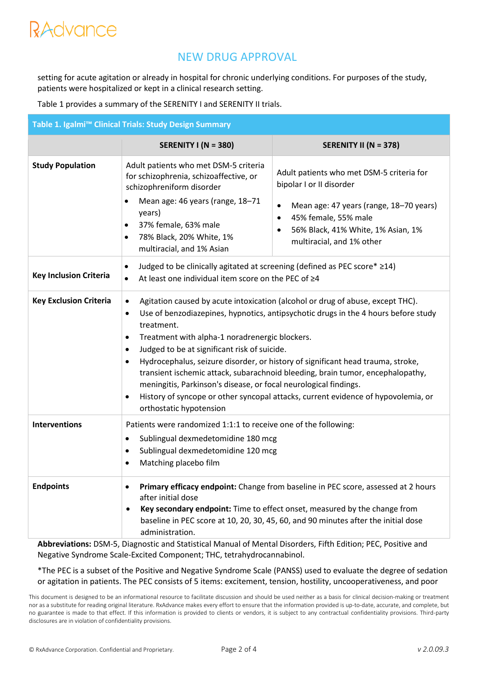# RAdvance

# NEW DRUG APPROVAL

setting for acute agitation or already in hospital for chronic underlying conditions. For purposes of the study, patients were hospitalized or kept in a clinical research setting.

Table 1 provides a summary of the SERENITY I and SERENITY II trials.

| Table 1. Igalmi™ Clinical Trials: Study Design Summary |                                                                                                                                                                                                                                                                                                                                                                                                                                                                                                                                                                                                                                                                                                                     |                                                                                                                                                                                                                                                      |  |  |
|--------------------------------------------------------|---------------------------------------------------------------------------------------------------------------------------------------------------------------------------------------------------------------------------------------------------------------------------------------------------------------------------------------------------------------------------------------------------------------------------------------------------------------------------------------------------------------------------------------------------------------------------------------------------------------------------------------------------------------------------------------------------------------------|------------------------------------------------------------------------------------------------------------------------------------------------------------------------------------------------------------------------------------------------------|--|--|
|                                                        | <b>SERENITY I (N = 380)</b>                                                                                                                                                                                                                                                                                                                                                                                                                                                                                                                                                                                                                                                                                         | <b>SERENITY II (N = 378)</b>                                                                                                                                                                                                                         |  |  |
| <b>Study Population</b>                                | Adult patients who met DSM-5 criteria<br>for schizophrenia, schizoaffective, or<br>schizophreniform disorder<br>Mean age: 46 years (range, 18-71<br>years)<br>37% female, 63% male<br>$\bullet$<br>78% Black, 20% White, 1%<br>$\bullet$<br>multiracial, and 1% Asian                                                                                                                                                                                                                                                                                                                                                                                                                                               | Adult patients who met DSM-5 criteria for<br>bipolar I or II disorder<br>Mean age: 47 years (range, 18-70 years)<br>$\bullet$<br>45% female, 55% male<br>$\bullet$<br>56% Black, 41% White, 1% Asian, 1%<br>$\bullet$<br>multiracial, and 1% other   |  |  |
| <b>Key Inclusion Criteria</b>                          | Judged to be clinically agitated at screening (defined as PEC score* ≥14)<br>$\bullet$<br>At least one individual item score on the PEC of ≥4<br>$\bullet$                                                                                                                                                                                                                                                                                                                                                                                                                                                                                                                                                          |                                                                                                                                                                                                                                                      |  |  |
| <b>Key Exclusion Criteria</b>                          | Agitation caused by acute intoxication (alcohol or drug of abuse, except THC).<br>$\bullet$<br>Use of benzodiazepines, hypnotics, antipsychotic drugs in the 4 hours before study<br>$\bullet$<br>treatment.<br>Treatment with alpha-1 noradrenergic blockers.<br>٠<br>Judged to be at significant risk of suicide.<br>$\bullet$<br>Hydrocephalus, seizure disorder, or history of significant head trauma, stroke,<br>$\bullet$<br>transient ischemic attack, subarachnoid bleeding, brain tumor, encephalopathy,<br>meningitis, Parkinson's disease, or focal neurological findings.<br>History of syncope or other syncopal attacks, current evidence of hypovolemia, or<br>$\bullet$<br>orthostatic hypotension |                                                                                                                                                                                                                                                      |  |  |
| <b>Interventions</b>                                   | Patients were randomized 1:1:1 to receive one of the following:<br>Sublingual dexmedetomidine 180 mcg<br>$\bullet$<br>Sublingual dexmedetomidine 120 mcg<br>$\bullet$<br>Matching placebo film                                                                                                                                                                                                                                                                                                                                                                                                                                                                                                                      |                                                                                                                                                                                                                                                      |  |  |
| <b>Endpoints</b>                                       | after initial dose<br>$\bullet$<br>administration.                                                                                                                                                                                                                                                                                                                                                                                                                                                                                                                                                                                                                                                                  | Primary efficacy endpoint: Change from baseline in PEC score, assessed at 2 hours<br>Key secondary endpoint: Time to effect onset, measured by the change from<br>baseline in PEC score at 10, 20, 30, 45, 60, and 90 minutes after the initial dose |  |  |

**Abbreviations:** DSM-5, Diagnostic and Statistical Manual of Mental Disorders, Fifth Edition; PEC, Positive and Negative Syndrome Scale-Excited Component; THC, tetrahydrocannabinol.

\*The PEC is a subset of the Positive and Negative Syndrome Scale (PANSS) used to evaluate the degree of sedation or agitation in patients. The PEC consists of 5 items: excitement, tension, hostility, uncooperativeness, and poor

This document is designed to be an informational resource to facilitate discussion and should be used neither as a basis for clinical decision-making or treatment nor as a substitute for reading original literature. RxAdvance makes every effort to ensure that the information provided is up-to-date, accurate, and complete, but no guarantee is made to that effect. If this information is provided to clients or vendors, it is subject to any contractual confidentiality provisions. Third-party disclosures are in violation of confidentiality provisions.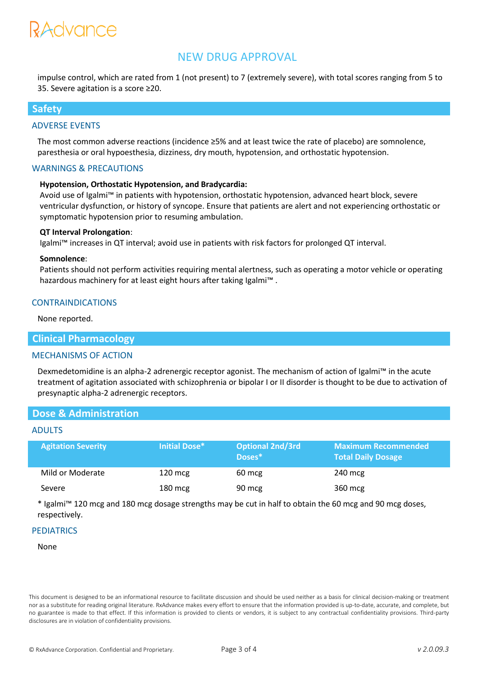# RAUVANCE

# NEW DRUG APPROVAL

impulse control, which are rated from 1 (not present) to 7 (extremely severe), with total scores ranging from 5 to 35. Severe agitation is a score ≥20.

### **Safety**

#### ADVERSE EVENTS

The most common adverse reactions (incidence ≥5% and at least twice the rate of placebo) are somnolence, paresthesia or oral hypoesthesia, dizziness, dry mouth, hypotension, and orthostatic hypotension.

#### WARNINGS & PRECAUTIONS

#### **Hypotension, Orthostatic Hypotension, and Bradycardia:**

Avoid use of Igalmi™ in patients with hypotension, orthostatic hypotension, advanced heart block, severe ventricular dysfunction, or history of syncope. Ensure that patients are alert and not experiencing orthostatic or symptomatic hypotension prior to resuming ambulation.

#### **QT Interval Prolongation**:

Igalmi™ increases in QT interval; avoid use in patients with risk factors for prolonged QT interval.

#### **Somnolence**:

Patients should not perform activities requiring mental alertness, such as operating a motor vehicle or operating hazardous machinery for at least eight hours after taking Igalmi™ .

### CONTRAINDICATIONS

None reported.

### **Clinical Pharmacology**

#### MECHANISMS OF ACTION

Dexmedetomidine is an alpha-2 adrenergic receptor agonist. The mechanism of action of Igalmi™ in the acute treatment of agitation associated with schizophrenia or bipolar I or II disorder is thought to be due to activation of presynaptic alpha-2 adrenergic receptors.

### **Dose & Administration**

#### ADULTS

| <b>Agitation Severity</b> | Initial Dose*     | <b>Optional 2nd/3rd</b><br>Doses* | <b>Maximum Recommended</b><br><b>Total Daily Dosage</b> |
|---------------------------|-------------------|-----------------------------------|---------------------------------------------------------|
| Mild or Moderate          | $120 \text{ mcg}$ | 60 mcg                            | 240 mcg                                                 |
| Severe                    | $180 \text{ mcg}$ | 90 mcg                            | 360 mcg                                                 |

\* Igalmi™ 120 mcg and 180 mcg dosage strengths may be cut in half to obtain the 60 mcg and 90 mcg doses, respectively.

#### **PEDIATRICS**

#### None

This document is designed to be an informational resource to facilitate discussion and should be used neither as a basis for clinical decision-making or treatment nor as a substitute for reading original literature. RxAdvance makes every effort to ensure that the information provided is up-to-date, accurate, and complete, but no guarantee is made to that effect. If this information is provided to clients or vendors, it is subject to any contractual confidentiality provisions. Third-party disclosures are in violation of confidentiality provisions.